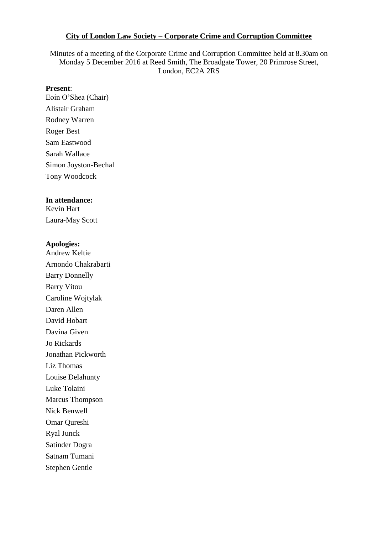#### **City of London Law Society – Corporate Crime and Corruption Committee**

Minutes of a meeting of the Corporate Crime and Corruption Committee held at 8.30am on Monday 5 December 2016 at Reed Smith, The Broadgate Tower, 20 Primrose Street, London, EC2A 2RS

#### **Present**:

Eoin O'Shea (Chair) Alistair Graham Rodney Warren Roger Best Sam Eastwood Sarah Wallace Simon Joyston-Bechal Tony Woodcock

#### **In attendance:**  Kevin Hart

Laura-May Scott

#### **Apologies:**

Andrew Keltie Arnondo Chakrabarti Barry Donnelly Barry Vitou Caroline Wojtylak Daren Allen David Hobart Davina Given Jo Rickards Jonathan Pickworth Liz Thomas Louise Delahunty Luke Tolaini Marcus Thompson Nick Benwell Omar Qureshi Ryal Junck Satinder Dogra Satnam Tumani Stephen Gentle